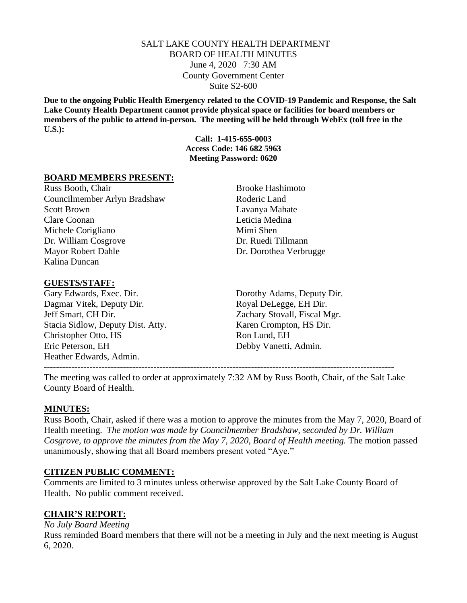### SALT LAKE COUNTY HEALTH DEPARTMENT BOARD OF HEALTH MINUTES June 4, 2020 7:30 AM County Government Center Suite S2-600

**Due to the ongoing Public Health Emergency related to the COVID-19 Pandemic and Response, the Salt Lake County Health Department cannot provide physical space or facilities for board members or members of the public to attend in-person. The meeting will be held through WebEx (toll free in the U.S.):**

> **Call: 1-415-655-0003 Access Code: 146 682 5963 Meeting Password: 0620**

#### **BOARD MEMBERS PRESENT:**

Russ Booth, Chair Brooke Hashimoto Councilmember Arlyn Bradshaw Roderic Land Scott Brown Lavanya Mahate Clare Coonan Leticia Medina Michele Corigliano Mimi Shen Dr. William Cosgrove Dr. Ruedi Tillmann Mayor Robert Dahle Dr. Dorothea Verbrugge Kalina Duncan

#### **GUESTS/STAFF:**

Dagmar Vitek, Deputy Dir. Royal DeLegge, EH Dir. Jeff Smart, CH Dir. Zachary Stovall, Fiscal Mgr. Stacia Sidlow, Deputy Dist. Atty. Karen Crompton, HS Dir. Christopher Otto, HS Ron Lund, EH Eric Peterson, EH Debby Vanetti, Admin. Heather Edwards, Admin. -------------------------------------------------------------------------------------------------------------------

Gary Edwards, Exec. Dir. Dorothy Adams, Deputy Dir.

The meeting was called to order at approximately 7:32 AM by Russ Booth, Chair, of the Salt Lake County Board of Health.

### **MINUTES:**

Russ Booth, Chair, asked if there was a motion to approve the minutes from the May 7, 2020, Board of Health meeting. *The motion was made by Councilmember Bradshaw, seconded by Dr. William Cosgrove, to approve the minutes from the May 7, 2020, Board of Health meeting. The motion passed* unanimously, showing that all Board members present voted "Aye."

### **CITIZEN PUBLIC COMMENT:**

Comments are limited to 3 minutes unless otherwise approved by the Salt Lake County Board of Health. No public comment received.

### **CHAIR'S REPORT:**

*No July Board Meeting*

Russ reminded Board members that there will not be a meeting in July and the next meeting is August 6, 2020.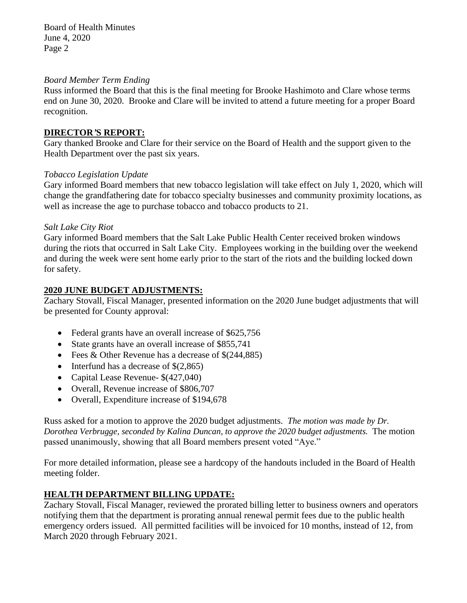Board of Health Minutes June 4, 2020 Page 2

### *Board Member Term Ending*

Russ informed the Board that this is the final meeting for Brooke Hashimoto and Clare whose terms end on June 30, 2020. Brooke and Clare will be invited to attend a future meeting for a proper Board recognition.

### **DIRECTOR***'***S REPORT:**

Gary thanked Brooke and Clare for their service on the Board of Health and the support given to the Health Department over the past six years.

### *Tobacco Legislation Update*

Gary informed Board members that new tobacco legislation will take effect on July 1, 2020, which will change the grandfathering date for tobacco specialty businesses and community proximity locations, as well as increase the age to purchase tobacco and tobacco products to 21.

### *Salt Lake City Riot*

Gary informed Board members that the Salt Lake Public Health Center received broken windows during the riots that occurred in Salt Lake City. Employees working in the building over the weekend and during the week were sent home early prior to the start of the riots and the building locked down for safety.

### **2020 JUNE BUDGET ADJUSTMENTS:**

Zachary Stovall, Fiscal Manager, presented information on the 2020 June budget adjustments that will be presented for County approval:

- Federal grants have an overall increase of \$625,756
- State grants have an overall increase of \$855,741
- Fees & Other Revenue has a decrease of  $\S(244,885)$
- Interfund has a decrease of  $\S(2,865)$
- Capital Lease Revenue-  $$(427,040)$
- Overall, Revenue increase of \$806,707
- Overall, Expenditure increase of \$194,678

Russ asked for a motion to approve the 2020 budget adjustments. *The motion was made by Dr. Dorothea Verbrugge, seconded by Kalina Duncan, to approve the 2020 budget adjustments.* The motion passed unanimously, showing that all Board members present voted "Aye."

For more detailed information, please see a hardcopy of the handouts included in the Board of Health meeting folder.

# **HEALTH DEPARTMENT BILLING UPDATE:**

Zachary Stovall, Fiscal Manager, reviewed the prorated billing letter to business owners and operators notifying them that the department is prorating annual renewal permit fees due to the public health emergency orders issued. All permitted facilities will be invoiced for 10 months, instead of 12, from March 2020 through February 2021.